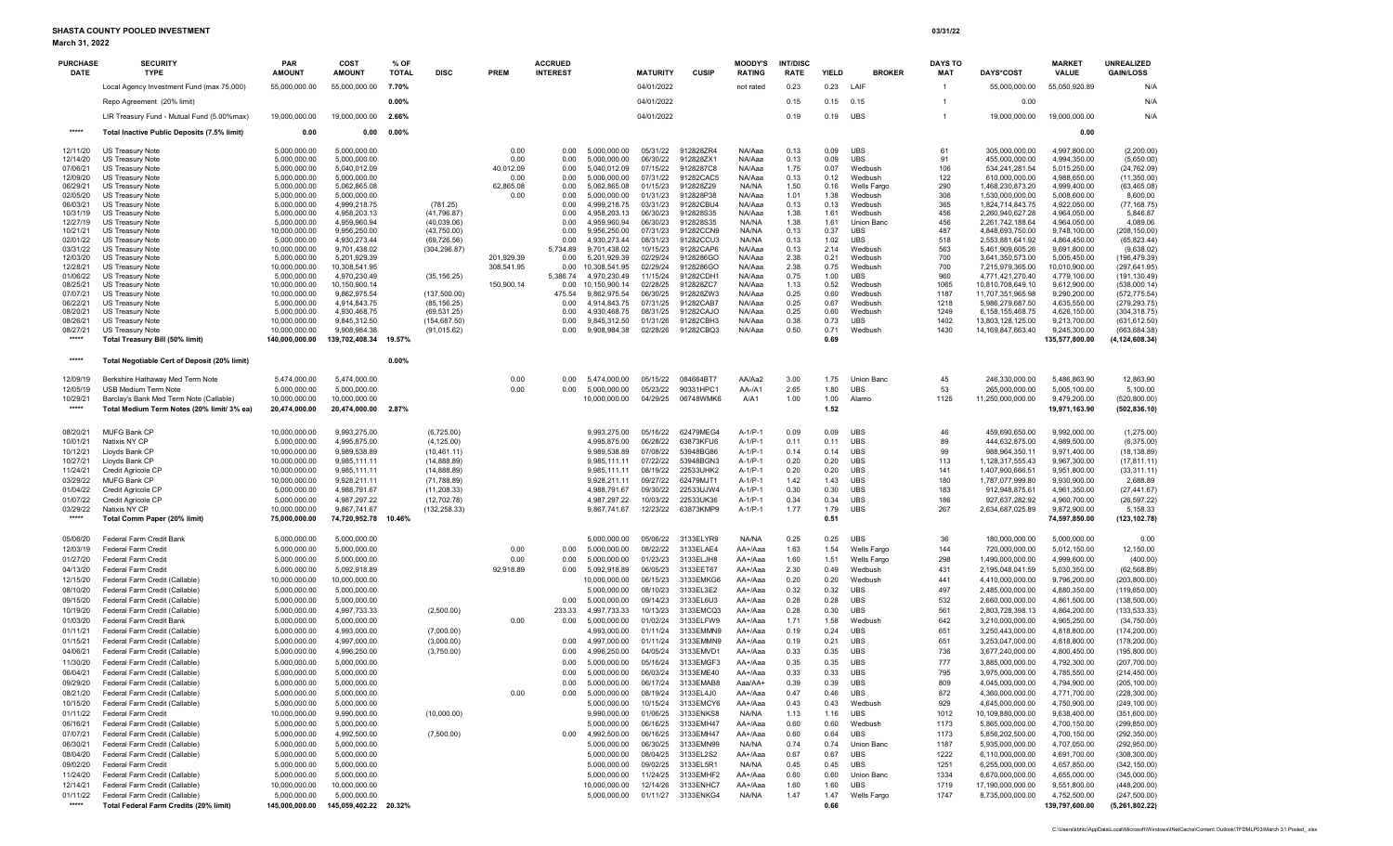March 31, 2022

SHASTA COUNTY POOLED INVESTMENT 03/31/22

| <b>PURCHASE</b><br><b>DATE</b> | <b>SECURITY</b><br><b>TYPE</b>                                                        | PAR<br><b>AMOUNT</b>            | COST<br><b>AMOUNT</b>          | % OF<br><b>TOTAL</b> | <b>DISC</b>                   | <b>PREM</b>       | <b>ACCRUED</b><br><b>INTEREST</b> |                               | <b>MATURITY</b>      | <b>CUSIP</b>           | <b>MOODY'S</b><br><b>RATING</b> | <b>INT/DISC</b><br><b>RATE</b> | <b>YIELD</b> | <b>BROKER</b>                 | <b>DAYS TO</b><br>MAT | <b>DAYS*COST</b>                       | <b>MARKET</b><br>VALUE         | UNREALIZED<br><b>GAIN/LOSS</b>  |
|--------------------------------|---------------------------------------------------------------------------------------|---------------------------------|--------------------------------|----------------------|-------------------------------|-------------------|-----------------------------------|-------------------------------|----------------------|------------------------|---------------------------------|--------------------------------|--------------|-------------------------------|-----------------------|----------------------------------------|--------------------------------|---------------------------------|
|                                | Local Agency Investment Fund (max 75,000)                                             | 55,000,000.00                   | 55,000,000.00                  | 7.70%                |                               |                   |                                   |                               | 04/01/2022           |                        | not rated                       | 0.23                           | 0.23         | LAIF                          | -1                    | 55,000,000.00                          | 55,050,920.89                  | N/A                             |
|                                | Repo Agreement (20% limit)                                                            |                                 |                                | 0.00%                |                               |                   |                                   |                               | 04/01/2022           |                        |                                 | 0.15                           | 0.15         | 0.15                          |                       | 0.00                                   |                                | N/A                             |
|                                | LIR Treasury Fund - Mutual Fund (5.00%max)                                            | 19,000,000.00                   | 19,000,000.00                  | 2.66%                |                               |                   |                                   |                               | 04/01/2022           |                        |                                 | 0.19                           | 0.19         | UBS                           | $\overline{1}$        | 19,000,000.00                          | 19,000,000.00                  | N/A                             |
| *****                          | Total Inactive Public Deposits (7.5% limit)                                           | 0.00                            | 0.00                           | $0.00\%$             |                               |                   |                                   |                               |                      |                        |                                 |                                |              |                               |                       |                                        | 0.00                           |                                 |
| 12/11/20                       | US Treasury Note                                                                      | 5,000,000.00                    | 5,000,000.00                   |                      |                               | 0.00              | 0.00                              | 5,000,000.00                  | 05/31/22             | 912828ZR4              | NA/Aaa                          | 0.13                           | 0.09         | <b>UBS</b>                    | 61                    | 305,000,000.00                         | 4,997,800.00                   | (2,200.00)                      |
| 12/14/20                       | <b>US Treasury Note</b>                                                               | 5,000,000.00                    | 5,000,000.00                   |                      |                               | 0.00              | 0.00                              | 5,000,000.00                  | 06/30/22             | 912828ZX1              | NA/Aaa                          | 0.13                           | 0.09         | <b>UBS</b>                    | 91                    | 455,000,000.00                         | 4,994,350.00                   | (5,650.00)                      |
| 07/06/21                       | US Treasury Note                                                                      | 5,000,000.00                    | 5,040,012.09                   |                      |                               | 40,012.09         | 0.00                              | 5,040,012.09                  | 07/15/22             | 9128287C8              | NA/Aaa                          | 1.75                           | 0.07         | Wedbush                       | 106                   | 534,241,281.54                         | 5,015,250.00                   | (24, 762.09)                    |
| 12/09/20                       | US Treasury Note                                                                      | 5,000,000.00                    | 5,000,000.00                   |                      |                               | 0.00              | 0.00                              | 5,000,000.00                  | 07/31/22             | 91282CAC5              | NA/Aaa                          | 0.13                           | 0.12         | Wedbush                       | 122                   | 610,000,000.00                         | 4,988,650.00                   | (11,350.00)                     |
| 06/29/21<br>02/05/20           | US Treasury Note<br>US Treasury Note                                                  | 5,000,000.00<br>5,000,000.00    | 5,062,865.08<br>5,000,000.00   |                      |                               | 62,865.08<br>0.00 | 0.00<br>0.00                      | 5.062,865.08<br>5,000,000.00  | 01/15/23<br>01/31/23 | 912828Z29<br>912828P38 | NA/NA<br>NA/Aaa                 | 1.50<br>1.01                   | 0.16<br>1.38 | <b>Wells Fargo</b><br>Wedbush | 290<br>306            | 1,468,230,873.20<br>1,530,000,000.00   | 4,999,400.00<br>5,008,600.00   | (63, 465.08)<br>8,600.00        |
| 06/03/21                       | US Treasury Note                                                                      | 5,000,000.00                    | 4,999,218.75                   |                      | (781.25)                      |                   | 0.00                              | 4.999.218.75                  | 03/31/23             | 91282CBU4              | NA/Aaa                          | 0.13                           | 0.13         | Wedbush                       | 365                   | 1,824,714,843.75                       | 4,922,050.00                   | (77, 168.75)                    |
| 10/31/19                       | <b>US Treasury Note</b>                                                               | 5,000,000.00                    | 4,958,203.13                   |                      | (41, 796.87)                  |                   | 0.00                              | 4.958.203.13                  | 06/30/23             | 912828S35              | NA/Aaa                          | 1.38                           | 1.61         | Wedbush                       | 456                   | 2,260,940,627.28                       | 4,964,050.00                   | 5,846.87                        |
| 12/27/19                       | US Treasury Note                                                                      | 5,000,000.00                    | 4,959,960.94                   |                      | (40,039.06)                   |                   | 0.00                              | 4,959,960.94                  | 06/30/23             | 912828S35              | NA/NA                           | 1.38                           | 1.61         | <b>Union Banc</b>             | 456                   | 2,261,742,188.64                       | 4,964,050.00                   | 4,089.06                        |
| 10/21/21                       | US Treasury Note                                                                      | 10,000,000.00                   | 9,956,250.00                   |                      | (43,750.00)                   |                   | 0.00                              | 9,956,250.00                  | 07/31/23             | 91282CCN9              | NA/NA                           | 0.13                           | 0.37         | <b>UBS</b>                    | 487                   | 4.848.693.750.00                       | 9,748,100.00                   | (208, 150.00)                   |
| 02/01/22<br>03/31/22           | US Treasury Note<br>US Treasury Note                                                  | 5,000,000.00<br>10,000,000.00   | 4,930,273.44<br>9,701,438.02   |                      | (69, 726.56)<br>(304, 296.87) |                   | 0.00<br>5,734.89                  | 4.930.273.44<br>9,701,438.02  | 08/31/23<br>10/15/23 | 91282CCU3<br>91282CAP6 | NA/NA<br>NA/Aaa                 | 0.13<br>0.13                   | 1.02<br>2.14 | <b>UBS</b><br>Wedbush         | 518<br>563            | 2,553,881,641.92<br>5,461,909,605.26   | 4,864,450.00<br>9,691,800.00   | (65, 823.44)<br>(9,638.02)      |
| 12/03/20                       | US Treasury Note                                                                      | 5,000,000.00                    | 5,201,929.39                   |                      |                               | 201,929.39        | 0.00                              | 5,201,929.39                  | 02/29/24             | 9128286GO              | NA/Aaa                          | 2.38                           | 0.21         | Wedbush                       | 700                   | 3,641,350,573.00                       | 5,005,450.00                   | (196, 479.39)                   |
| 12/28/21                       | <b>US Treasury Note</b>                                                               | 10,000,000.00                   | 10,308,541.95                  |                      |                               | 308,541.95        | 0.00                              | 10,308,541.95                 | 02/29/24             | 9128286GO              | NA/Aaa                          | 2.38                           | 0.75         | Wedbush                       | 700                   | 7,215,979,365.00                       | 10,010,900.00                  | (297, 641.95)                   |
| 01/06/22                       | <b>US Treasury Note</b>                                                               | 5,000,000.00                    | 4,970,230.49                   |                      | (35, 156.25)                  |                   | 5,386.74                          | 4,970,230.49                  | 11/15/24             | 91282CDH1              | NA/Aaa                          | 0.75                           | 1.00         | <b>UBS</b>                    | 960                   | 4,771,421,270.40                       | 4,779,100.00                   | (191, 130.49)                   |
| 08/25/21<br>07/07/21           | <b>US Treasury Note</b><br>US Treasury Note                                           | 10,000,000.00<br>10,000,000.00  | 10,150,900.14<br>9,862,975.54  |                      | (137,500.00)                  | 150,900.14        | 0.00<br>475.54                    | 10,150,900.14<br>9,862,975.54 | 02/28/25<br>06/30/25 | 912828ZC7<br>912828ZW3 | NA/Aaa<br>NA/Aaa                | 1.13<br>0.25                   | 0.52<br>0.60 | Wedbush<br>Wedbush            | 1065<br>1187          | 10,810,708,649.10<br>11,707,351,965.98 | 9,612,900.00<br>9,290,200.00   | (538,000.14)<br>(572, 775.54)   |
| 06/22/21                       | US Treasury Note                                                                      | 5,000,000.00                    | 4,914,843.75                   |                      | (85, 156.25)                  |                   | 0.00                              | 4,914,843.75                  | 07/31/25             | 91282CAB7              | NA/Aaa                          | 0.25                           | 0.67         | Wedbush                       | 1218                  | 5,986,279,687.50                       | 4,635,550.00                   | (279, 293.75)                   |
| 08/20/21                       | US Treasury Note                                                                      | 5,000,000.00                    | 4,930,468.75                   |                      | (69, 531.25)                  |                   | 0.00                              | 4,930,468.75                  | 08/31/25             | 91282CAJO              | NA/Aaa                          | 0.25                           | 0.60         | Wedbush                       | 1249                  | 6,158,155,468.75                       | 4,626,150.00                   | (304, 318.75)                   |
| 08/26/21                       | US Treasury Note                                                                      | 10,000,000.00                   | 9,845,312.50                   |                      | (154, 687.50)                 |                   | 0.00                              | 9,845,312.50                  | 01/31/26             | 91282CBH3              | NA/Aaa                          | 0.38                           | 0.73         | UBS                           | 1402                  | 13,803,128,125.00                      | 9,213,700.00                   | (631, 612.50)                   |
| 08/27/21<br>*****              | <b>US Treasury Note</b><br>Total Treasury Bill (50% limit)                            | 10,000,000.00<br>140,000,000.00 | 9,908,984.38<br>139,702,408.34 | 19.57%               | (91, 015.62)                  |                   | 0.00                              | 9,908,984.38                  | 02/28/26             | 91282CBQ3              | NA/Aaa                          | 0.50                           | 0.71<br>0.69 | Wedbush                       | 1430                  | 14,169,847,663.40                      | 9,245,300.00<br>135,577,800.00 | (663, 684.38)<br>(4,124,608.34) |
|                                |                                                                                       |                                 |                                |                      |                               |                   |                                   |                               |                      |                        |                                 |                                |              |                               |                       |                                        |                                |                                 |
| *****                          | Total Negotiable Cert of Deposit (20% limit)                                          |                                 |                                | 0.00%                |                               |                   |                                   |                               |                      |                        |                                 |                                |              |                               |                       |                                        |                                |                                 |
| 12/09/19                       | Berkshire Hathaway Med Term Note                                                      | 5,474,000.00                    | 5,474,000.00                   |                      |                               | 0.00              | 0.00                              | 5,474,000.00                  | 05/15/22             | 084664BT7              | AA/Aa2                          | 3.00                           | 1.75         | Union Banc                    | 45                    | 246,330,000.00                         | 5,486,863.90                   | 12,863.90                       |
| 12/05/19                       | USB Medium Term Note                                                                  | 5,000,000.00                    | 5,000,000.00                   |                      |                               | 0.00              | 0.00                              | 5,000,000.00                  | 05/23/22             | 90331HPC1              | AA-/A1                          | 2.65                           | 1.80         | <b>UBS</b>                    | 53                    | 265,000,000.00                         | 5,005,100.00                   | 5,100.00                        |
| 10/29/21<br>*****              | Barclay's Bank Med Term Note (Callable)<br>Total Medium Term Notes (20% limit/ 3% ea) | 10,000,000.00<br>20,474,000.00  | 10,000,000.00<br>20,474,000.00 | 2.87%                |                               |                   |                                   | 10,000,000.00                 | 04/29/25             | 06748WMK6              | A/A1                            | 1.00                           | 1.00<br>1.52 | Alamo                         | 1125                  | 11,250,000,000.00                      | 9,479,200.00<br>19,971,163.90  | (520, 800.00)<br>(502, 836.10)  |
|                                |                                                                                       |                                 |                                |                      |                               |                   |                                   |                               |                      |                        |                                 |                                |              |                               |                       |                                        |                                |                                 |
| 08/20/21                       | MUFG Bank CP                                                                          | 10,000,000.00                   | 9,993,275.00                   |                      | (6,725.00)                    |                   |                                   | 9.993.275.00                  | 05/16/22             | 62479MEG4              | $A-1/P-1$                       | 0.09                           | 0.09         | <b>UBS</b>                    | 46                    | 459.690.650.00                         | 9.992.000.00                   | (1,275.00)                      |
| 10/01/21                       | Natixis NY CP                                                                         | 5,000,000.00                    | 4,995,875.00                   |                      | (4, 125.00)                   |                   |                                   | 4,995,875.00                  | 06/28/22             | 63873KFU6              | $A-1/P-1$                       | 0.11                           | 0.11         | <b>UBS</b>                    | 89                    | 444,632,875.00                         | 4,989,500.00                   | (6,375.00)                      |
| 10/12/21                       | Lloyds Bank CP                                                                        | 10,000,000.00                   | 9,989,538.89                   |                      | (10, 461.11)                  |                   |                                   | 9,989,538.89                  | 07/08/22             | 53948BG86              | $A-1/P-1$                       | 0.14                           | 0.14         | <b>UBS</b>                    | 99                    | 988,964,350.11                         | 9,971,400.00                   | (18, 138.89)                    |
| 10/27/21                       | Lloyds Bank CP                                                                        | 10,000,000.00                   | 9,985,111.11                   |                      | (14,888.89)                   |                   |                                   | 9,985,111.11                  | 07/22/22             | 53948BGN3              | $A-1/P-1$                       | 0.20                           | 0.20         | <b>UBS</b>                    | 113                   | 1,128,317,555.43                       | 9,967,300.00                   | (17, 811.11)                    |
| 11/24/21                       | Credit Agricole CP                                                                    | 10,000,000.00                   | 9,985,111.11                   |                      | (14, 888.89)                  |                   |                                   | 9,985,111.11                  | 08/19/22             | 22533UHK2              | $A-1/P-1$                       | 0.20                           | 0.20         | <b>UBS</b>                    | 141                   | 1,407,900,666.51                       | 9,951,800.00                   | (33, 311.11)                    |
| 03/29/22<br>01/04/22           | MUFG Bank CP<br>Credit Agricole CP                                                    | 10,000,000.00<br>5,000,000.00   | 9,928,211.11<br>4,988,791.67   |                      | (71, 788.89)<br>(11, 208.33)  |                   |                                   | 9,928,211.11<br>4,988,791.67  | 09/27/22<br>09/30/22 | 62479MJT1<br>22533UJW4 | $A-1/P-1$<br>$A-1/P-1$          | 1.42<br>0.30                   | 1.43<br>0.30 | <b>UBS</b><br><b>UBS</b>      | 180<br>183            | 1,787,077,999.80<br>912,948,875.61     | 9,930,900.00<br>4,961,350.00   | 2,688.89<br>(27, 441.67)        |
| 01/07/22                       | Credit Agricole CP                                                                    | 5,000,000.00                    | 4,987,297.22                   |                      | (12, 702.78)                  |                   |                                   | 4,987,297.22                  | 10/03/22             | 22533UK36              | $A-1/P-1$                       | 0.34                           | 0.34         | <b>UBS</b>                    | 186                   | 927,637,282.92                         | 4,960,700.00                   | (26, 597.22)                    |
| 03/29/22                       | Natixis NY CP                                                                         | 10,000,000.00                   | 9,867,741.67                   |                      | (132, 258.33)                 |                   |                                   | 9,867,741.67                  | 12/23/22             | 63873KMP9              | $A-1/P-1$                       | 1.77                           | 1.79         | <b>UBS</b>                    | 267                   | 2,634,687,025.89                       | 9,872,900.00                   | 5,158.33                        |
| *****                          | Total Comm Paper (20% limit)                                                          | 75,000,000.00                   | 74,720,952.78                  | 10.46%               |                               |                   |                                   |                               |                      |                        |                                 |                                | 0.51         |                               |                       |                                        | 74,597,850.00                  | (123, 102.78)                   |
| 05/06/20                       | Federal Farm Credit Bank                                                              | 5,000,000.00                    | 5,000,000.00                   |                      |                               |                   |                                   | 5.000.000.00                  | 05/06/22             | 3133ELYR9              | NA/NA                           | 0.25                           | 0.25         | <b>UBS</b>                    | 36                    | 180,000,000.00                         | 5,000,000.00                   | 0.00                            |
| 12/03/19                       | <b>Federal Farm Credit</b>                                                            | 5,000,000.00                    | 5,000,000.00                   |                      |                               | 0.00              | 0.00                              | 5,000,000.00                  | 08/22/22             | 3133ELAE4              | AA+/Aaa                         | 1.63                           | 1.54         | Wells Fargo                   | 144                   | 720,000,000.00                         | 5,012,150.00                   | 12,150.00                       |
| 01/27/20                       | <b>Federal Farm Credit</b>                                                            | 5,000,000.00                    | 5,000,000.00                   |                      |                               | 0.00              | 0.00                              | 5,000,000.00                  | 01/23/23             | 3133ELJH8              | AA+/Aaa                         | 1.60                           | 1.51         | Wells Fargo                   | 298                   | 1,490,000,000.00                       | 4,999,600.00                   | (400.00)                        |
| 04/13/20                       | <b>Federal Farm Credit</b>                                                            | 5,000,000.00                    | 5,092,918.89                   |                      |                               | 92,918.89         | 0.00                              | 5,092,918.89                  | 06/05/23             | 3133EET67              | AA+/Aaa                         | 2.30                           | 0.49         | Wedbush                       | 431                   | 2,195,048,041.59                       | 5,030,350.00                   | (62, 568.89)                    |
| 12/15/20                       | Federal Farm Credit (Callable)                                                        | 10,000,000.00                   | 10,000,000.00                  |                      |                               |                   |                                   | 10,000,000.00                 | 06/15/23             | 3133EMKG6              | AA+/Aaa                         | 0.20                           | 0.20         | Wedbush                       | 441                   | 4,410,000,000.00                       | 9,796,200.00                   | (203, 800.00)                   |
| 08/10/20                       | Federal Farm Credit (Callable)<br>Federal Farm Credit (Callable)                      | 5,000,000.00                    | 5,000,000.00                   |                      |                               |                   |                                   | 5,000,000.00                  | 08/10/23             | 3133EL3E2              | AA+/Aaa                         | 0.32                           | 0.32         | <b>UBS</b>                    | 497                   | 2,485,000,000.00                       | 4,880,350.00                   | (119, 650.00)                   |
| 09/15/20<br>10/19/20           | Federal Farm Credit (Callable)                                                        | 5,000,000.00<br>5,000,000.00    | 5,000,000.00<br>4,997,733.33   |                      | (2,500.00)                    |                   | 0.00<br>233.33                    | 5,000,000.00<br>4,997,733.33  | 09/14/23<br>10/13/23 | 3133EL6U3<br>3133EMCQ3 | AA+/Aaa<br>AA+/Aaa              | 0.28<br>0.28                   | 0.28<br>0.30 | <b>UBS</b><br><b>UBS</b>      | 532<br>561            | 2,660,000,000.00<br>2,803,728,398.13   | 4,861,500.00<br>4,864,200.00   | (138, 500.00)<br>(133, 533.33)  |
| 01/03/20                       | Federal Farm Credit Bank                                                              | 5.000.000.00                    | 5,000,000.00                   |                      |                               | 0.00              | 0.00                              | 5,000,000.00                  | 01/02/24             | 3133ELFW9              | AA+/Aaa                         | 1.71                           | 1.58         | Wedbush                       | 642                   | 3,210,000,000.00                       | 4.965.250.00                   | (34,750.00)                     |
| 01/11/21                       | Federal Farm Credit (Callable)                                                        | 5,000,000.00                    | 4,993,000.00                   |                      | (7,000.00)                    |                   |                                   | 4,993,000.00                  | 01/11/24             | 3133EMMN9              | AA+/Aaa                         | 0.19                           | 0.24         | <b>UBS</b>                    | 651                   | 3,250,443,000.00                       | 4,818,800.00                   | (174, 200.00)                   |
| 01/15/21                       | Federal Farm Credit (Callable)                                                        | 5.000.000.00                    | 4,997,000.00                   |                      | (3,000.00)                    |                   | 0.00                              | 4,997,000.00                  | 01/11/24             | 3133EMMN9              | AA+/Aaa                         | 0.19                           | 0.21         | <b>UBS</b>                    | 651                   | 3,253,047,000.00                       | 4,818,800.00                   | (178, 200.00)                   |
| 04/06/21                       | Federal Farm Credit (Callable)                                                        | 5,000,000.00                    | 4,996,250.00                   |                      | (3,750.00)                    |                   | 0.00                              | 4,996,250.00                  | 04/05/24             | 3133EMVD1              | AA+/Aaa                         | 0.33                           | 0.35         | <b>UBS</b>                    | 736                   | 3,677,240,000.00                       | 4,800,450.00                   | (195,800.00)                    |
| 11/30/20                       | Federal Farm Credit (Callable)                                                        | 5.000.000.00                    | 5,000,000.00                   |                      |                               |                   | 0.00                              | 5,000,000.00                  | 05/16/24             | 3133EMGF3              | AA+/Aaa                         | 0.35                           | 0.35         | <b>UBS</b>                    | 777                   | 3,885,000,000.00                       | 4,792,300.00                   | (207,700.00)                    |
| 06/04/21                       | Federal Farm Credit (Callable)                                                        | 5,000,000.00                    | 5,000,000.00                   |                      |                               |                   | 0.00                              | 5,000,000.00                  | 06/03/24             | 3133EME40              | AA+/Aaa                         | 0.33                           | 0.33         | <b>UBS</b>                    | 795                   | 3,975,000,000.00                       | 4,785,550.00                   | (214, 450.00)                   |
| 09/29/20                       | Federal Farm Credit (Callable)                                                        | 5,000,000.00                    | 5,000,000.00                   |                      |                               |                   | 0.00                              | 5,000,000.00                  | 06/17/24             | 3133EMAB8              | Aaa/AA+                         | 0.39                           | 0.39         | <b>UBS</b>                    | 809                   | 4,045,000,000.00                       | 4,794,900.00                   | (205, 100.00)                   |
| 08/21/20                       | Federal Farm Credit (Callable)                                                        | 5,000,000.00                    | 5,000,000.00                   |                      |                               | 0.00              | 0.00                              | 5,000,000.00                  | 08/19/24             | 3133EL4J0              | AA+/Aaa                         | 0.47                           | 0.46         | UBS                           | 872                   | 4,360,000,000.00                       | 4,771,700.00                   | (228, 300.00)                   |
| 10/15/20<br>01/11/22           | Federal Farm Credit (Callable)<br>Federal Farm Credit                                 | 5,000,000.00<br>10,000,000.00   | 5,000,000.00<br>9,990,000.00   |                      | (10,000.00)                   |                   |                                   | 5,000,000.00<br>9,990,000.00  | 10/15/24<br>01/06/25 | 3133EMCY6<br>3133ENKS8 | AA+/Aaa<br>NA/NA                | 0.43<br>1.13                   | 0.43<br>1.16 | Wedbush<br>UBS                | 929<br>1012           | 4,645,000,000.00<br>10,109,880,000.00  | 4,750,900.00<br>9,638,400.00   | (249, 100.00)<br>(351,600.00)   |
| 06/16/21                       | Federal Farm Credit (Callable)                                                        | 5,000,000.00                    | 5,000,000.00                   |                      |                               |                   |                                   | 5,000,000.00                  | 06/16/25             | 3133EMH47              | AA+/Aaa                         | 0.60                           | 0.60         | Wedbush                       | 1173                  | 5,865,000,000.00                       | 4,700,150.00                   | (299, 850.00)                   |
| 07/07/21                       | Federal Farm Credit (Callable)                                                        | 5,000,000.00                    | 4,992,500.00                   |                      | (7,500.00)                    |                   | 0.00                              | 4,992,500.00                  | 06/16/25             | 3133EMH47              | AA+/Aaa                         | 0.60                           | 0.64         | UBS                           | 1173                  | 5,856,202,500.00                       | 4,700,150.00                   | (292, 350.00)                   |
| 06/30/21                       | Federal Farm Credit (Callable)                                                        | 5,000,000.00                    | 5,000,000.00                   |                      |                               |                   |                                   | 5,000,000.00                  | 06/30/25             | 3133EMN99              | NA/NA                           | 0.74                           | 0.74         | Union Banc                    | 1187                  | 5,935,000,000.00                       | 4,707,050.00                   | (292, 950.00)                   |
| 08/04/20                       | Federal Farm Credit (Callable)                                                        | 5,000,000.00                    | 5,000,000.00                   |                      |                               |                   |                                   | 5,000,000.00                  | 08/04/25             | 3133EL2S2              | AA+/Aaa                         | 0.67                           | 0.67         | UBS                           | 1222                  | 6,110,000,000.00                       | 4,691,700.00                   | (308, 300.00)                   |
| 09/02/20                       | <b>Federal Farm Credit</b>                                                            | 5,000,000.00                    | 5,000,000.00                   |                      |                               |                   |                                   | 5,000,000.00                  | 09/02/25             | 3133EL5R1              | NA/NA                           | 0.45                           | 0.45         | UBS                           | 1251                  | 6,255,000,000.00                       | 4,657,850.00                   | (342, 150.00)                   |
| 11/24/20                       | Federal Farm Credit (Callable)                                                        | 5,000,000.00                    | 5,000,000.00                   |                      |                               |                   |                                   | 5,000,000.00                  | 11/24/25             | 3133EMHF2              | AA+/Aaa                         | 0.60                           | 0.60         | Union Banc                    | 1334                  | 6,670,000,000.00                       | 4,655,000.00                   | (345,000.00)                    |
| 12/14/21                       | Federal Farm Credit (Callable)                                                        | 10,000,000.00                   | 10,000,000.00                  |                      |                               |                   |                                   | 10,000,000.00                 | 12/14/26             | 3133ENHC7              | AA+/Aaa                         | 1.60                           | 1.60         | UBS                           | 1719                  | 17,190,000,000.00                      | 9,551,800.00                   | (448, 200.00)                   |
| 01/11/22<br>*****              | Federal Farm Credit (Callable)                                                        | 5,000,000.00                    | 5,000,000.00                   |                      |                               |                   |                                   | 5,000,000.00                  | 01/11/27             | 3133ENKG4              | NA/NA                           | 1.47                           | 1.47         | Wells Fargo                   | 1747                  | 8,735,000,000.00                       | 4,752,500.00                   | (247, 500.00)                   |
|                                | Total Federal Farm Credits (20% limit)                                                | 145,000,000.00                  | 145,059,402.22 20.32%          |                      |                               |                   |                                   |                               |                      |                        |                                 |                                | 0.66         |                               |                       |                                        | 139,797,600.00                 | (5,261,802.22)                  |